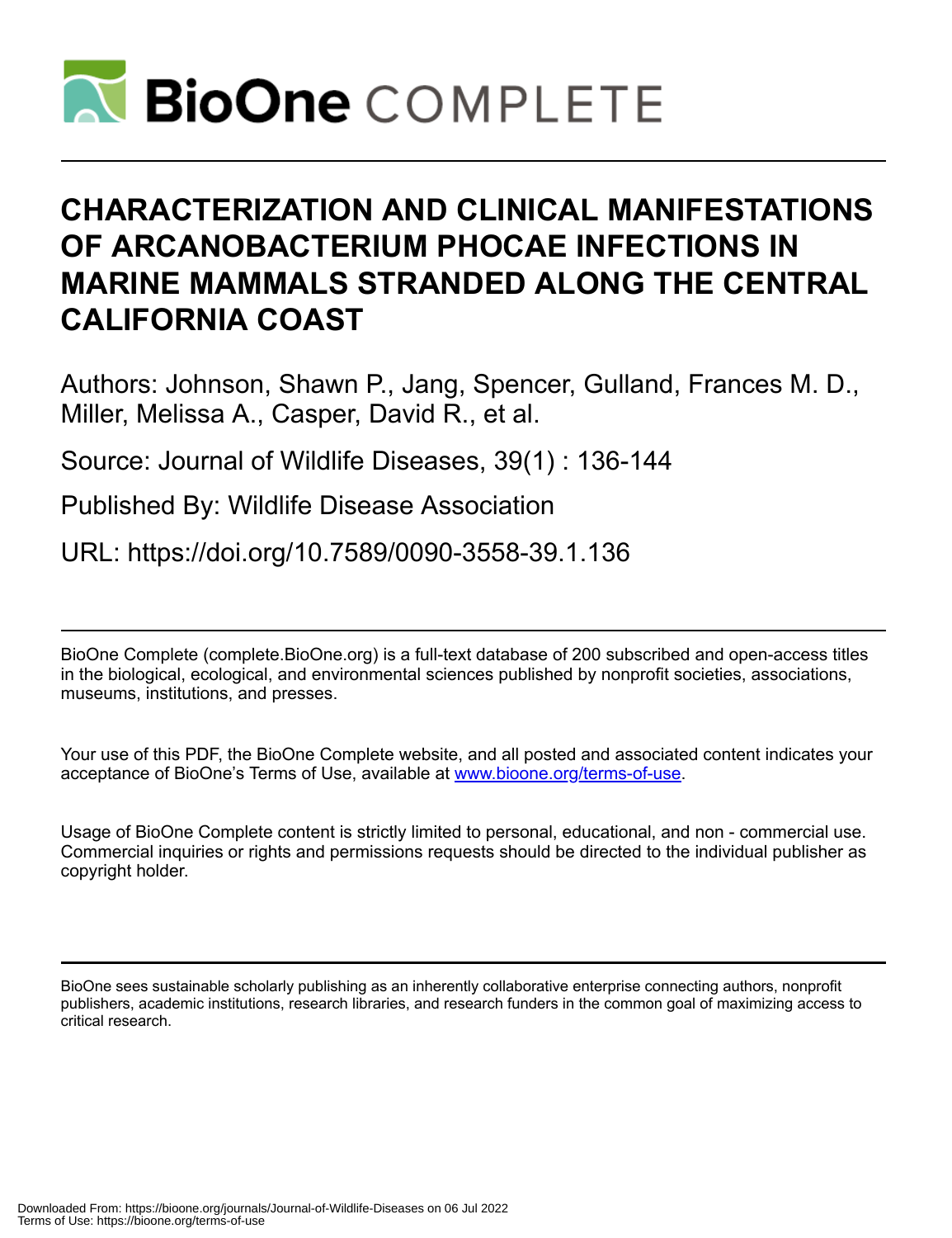

# **CHARACTERIZATION AND CLINICAL MANIFESTATIONS OF ARCANOBACTERIUM PHOCAE INFECTIONS IN MARINE MAMMALS STRANDED ALONG THE CENTRAL CALIFORNIA COAST**

Authors: Johnson, Shawn P., Jang, Spencer, Gulland, Frances M. D., Miller, Melissa A., Casper, David R., et al.

Source: Journal of Wildlife Diseases, 39(1) : 136-144

Published By: Wildlife Disease Association

URL: https://doi.org/10.7589/0090-3558-39.1.136

BioOne Complete (complete.BioOne.org) is a full-text database of 200 subscribed and open-access titles in the biological, ecological, and environmental sciences published by nonprofit societies, associations, museums, institutions, and presses.

Your use of this PDF, the BioOne Complete website, and all posted and associated content indicates your acceptance of BioOne's Terms of Use, available at www.bioone.org/terms-of-use.

Usage of BioOne Complete content is strictly limited to personal, educational, and non - commercial use. Commercial inquiries or rights and permissions requests should be directed to the individual publisher as copyright holder.

BioOne sees sustainable scholarly publishing as an inherently collaborative enterprise connecting authors, nonprofit publishers, academic institutions, research libraries, and research funders in the common goal of maximizing access to critical research.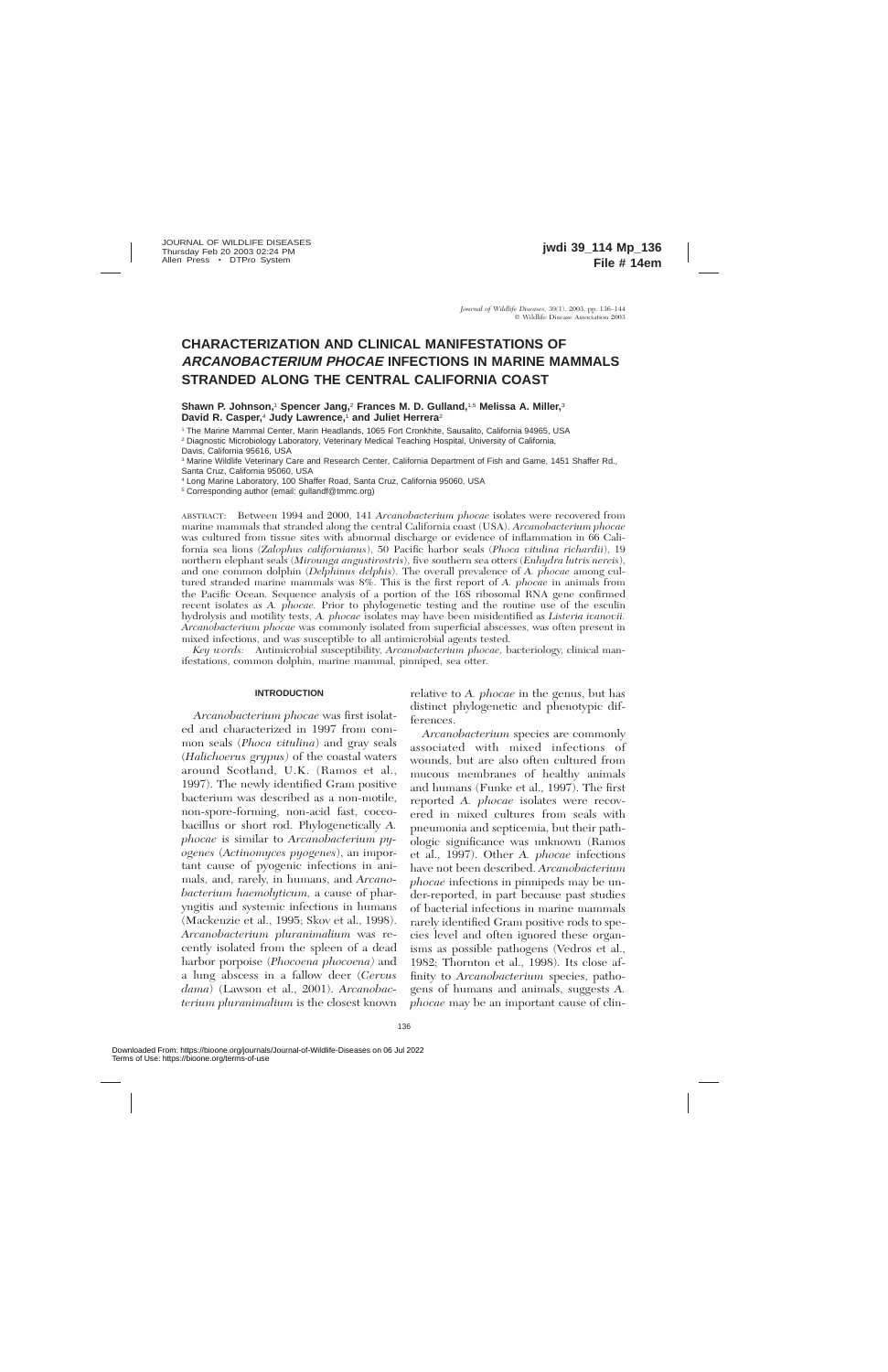## **CHARACTERIZATION AND CLINICAL MANIFESTATIONS OF ARCANOBACTERIUM PHOCAE INFECTIONS IN MARINE MAMMALS STRANDED ALONG THE CENTRAL CALIFORNIA COAST**

**Shawn P. Johnson,**<sup>1</sup> **Spencer Jang,**<sup>2</sup> **Frances M. D. Gulland,**1,5 **Melissa A. Miller,**<sup>3</sup> **David R. Casper,**<sup>4</sup> **Judy Lawrence,**<sup>1</sup> **and Juliet Herrera**<sup>2</sup>

<sup>1</sup> The Marine Mammal Center, Marin Headlands, 1065 Fort Cronkhite, Sausalito, California 94965, USA

<sup>2</sup> Diagnostic Microbiology Laboratory, Veterinary Medical Teaching Hospital, University of California, Davis, California 95616, USA

<sup>3</sup> Marine Wildlife Veterinary Care and Research Center, California Department of Fish and Game, 1451 Shaffer Rd., Santa Cruz, California 95060, USA

<sup>4</sup> Long Marine Laboratory, 100 Shaffer Road, Santa Cruz, California 95060, USA

<sup>5</sup> Corresponding author (email: gullandf@tmmc.org)

ABSTRACT: Between 1994 and 2000, 141 *Arcanobacterium phocae* isolates were recovered from marine mammals that stranded along the central California coast (USA). *Arcanobacterium phocae* was cultured from tissue sites with abnormal discharge or evidence of inflammation in 66 California sea lions (*Zalophus californianus*), 50 Pacific harbor seals (*Phoca vitulina richardii*), 19 northern elephant seals (*Mirounga angustirostris*), five southern sea otters (*Enhydra lutris nereis*), and one common dolphin (*Delphinus delphis*). The overall prevalence of *A. phocae* among cultured stranded marine mammals was 8%. This is the first report of *A. phocae* in animals from the Pacific Ocean. Sequence analysis of a portion of the 16S ribosomal RNA gene confirmed recent isolates as *A. phocae.* Prior to phylogenetic testing and the routine use of the esculin hydrolysis and motility tests, *A. phocae* isolates may have been misidentified as *Listeria ivanovii. Arcanobacterium phocae* was commonly isolated from superficial abscesses, was often present in mixed infections, and was susceptible to all antimicrobial agents tested.

*Key words:* Antimicrobial susceptibility, *Arcanobacterium phocae,* bacteriology, clinical manifestations, common dolphin, marine mammal, pinniped, sea otter.

#### **INTRODUCTION**

*Arcanobacterium phocae* was first isolated and characterized in 1997 from common seals (*Phoca vitulina*) and gray seals (*Halichoerus grypus)* of the coastal waters around Scotland, U.K. (Ramos et al., 1997). The newly identified Gram positive bacterium was described as a non-motile, non-spore-forming, non-acid fast, coccobacillus or short rod. Phylogenetically *A. phocae* is similar to *Arcanobacterium pyogenes* (*Actinomyces pyogenes*), an important cause of pyogenic infections in animals, and, rarely, in humans, and *Arcanobacterium haemolyticum,* a cause of pharyngitis and systemic infections in humans (Mackenzie et al., 1995; Skov et al., 1998). *Arcanobacterium pluranimalium* was recently isolated from the spleen of a dead harbor porpoise (*Phocoena phocoena)* and a lung abscess in a fallow deer (*Cervus dama*) (Lawson et al., 2001). *Arcanobacterium pluranimalium* is the closest known

relative to *A. phocae* in the genus, but has distinct phylogenetic and phenotypic differences.

*Arcanobacterium* species are commonly associated with mixed infections of wounds, but are also often cultured from mucous membranes of healthy animals and humans (Funke et al., 1997). The first reported *A. phocae* isolates were recovered in mixed cultures from seals with pneumonia and septicemia, but their pathologic significance was unknown (Ramos et al., 1997). Other *A. phocae* infections have not been described. *Arcanobacterium phocae* infections in pinnipeds may be under-reported, in part because past studies of bacterial infections in marine mammals rarely identified Gram positive rods to species level and often ignored these organisms as possible pathogens (Vedros et al., 1982; Thornton et al., 1998). Its close affinity to *Arcanobacterium* species, pathogens of humans and animals, suggests *A. phocae* may be an important cause of clin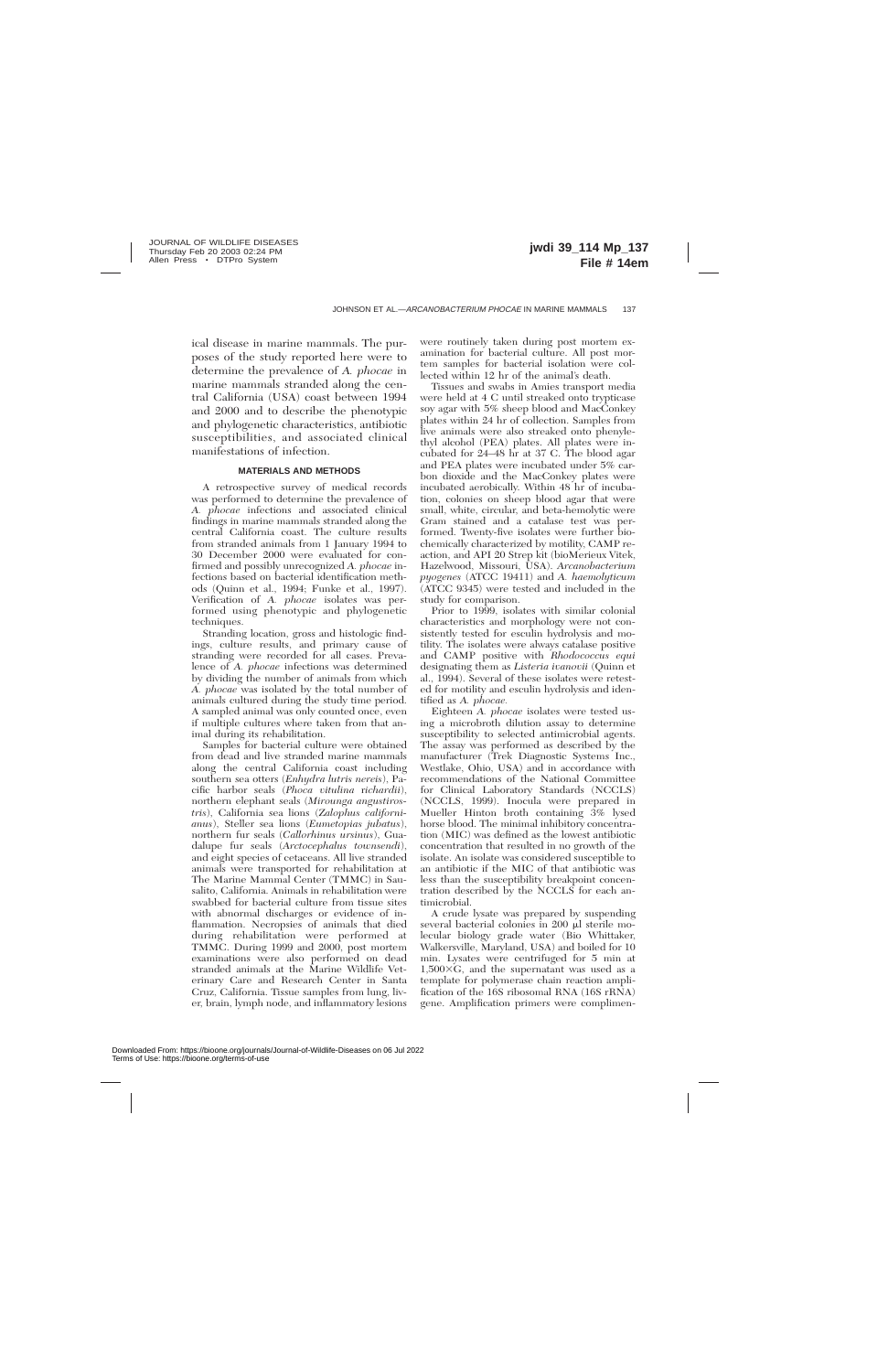ical disease in marine mammals. The purposes of the study reported here were to determine the prevalence of *A. phocae* in marine mammals stranded along the central California (USA) coast between 1994 and 2000 and to describe the phenotypic and phylogenetic characteristics, antibiotic susceptibilities, and associated clinical manifestations of infection.

#### **MATERIALS AND METHODS**

A retrospective survey of medical records was performed to determine the prevalence of *A. phocae* infections and associated clinical findings in marine mammals stranded along the central California coast. The culture results from stranded animals from 1 January 1994 to 30 December 2000 were evaluated for confirmed and possibly unrecognized *A. phocae* infections based on bacterial identification methods (Quinn et al., 1994; Funke et al., 1997). Verification of *A. phocae* isolates was performed using phenotypic and phylogenetic techniques.

Stranding location, gross and histologic findings, culture results, and primary cause of stranding were recorded for all cases. Prevalence of *A. phocae* infections was determined by dividing the number of animals from which *A. phocae* was isolated by the total number of animals cultured during the study time period. A sampled animal was only counted once, even if multiple cultures where taken from that animal during its rehabilitation.

Samples for bacterial culture were obtained from dead and live stranded marine mammals along the central California coast including southern sea otters (*Enhydra lutris nereis*), Pacific harbor seals (*Phoca vitulina* r*ichardii*), northern elephant seals (*Mirounga angustirostris*), California sea lions (*Zalophus californianus*), Steller sea lions (*Eumetopias jubatus*), northern fur seals (*Callorhinus ursinus*), Guadalupe fur seals (*Arctocephalus townsendi*), and eight species of cetaceans. All live stranded animals were transported for rehabilitation at The Marine Mammal Center (TMMC) in Sausalito, California. Animals in rehabilitation were swabbed for bacterial culture from tissue sites with abnormal discharges or evidence of inflammation. Necropsies of animals that died during rehabilitation were performed at TMMC. During 1999 and 2000, post mortem examinations were also performed on dead stranded animals at the Marine Wildlife Veterinary Care and Research Center in Santa Cruz, California. Tissue samples from lung, liver, brain, lymph node, and inflammatory lesions

were routinely taken during post mortem examination for bacterial culture. All post mortem samples for bacterial isolation were collected within 12 hr of the animal's death.

Tissues and swabs in Amies transport media were held at 4 C until streaked onto trypticase soy agar with 5% sheep blood and MacConkey plates within 24 hr of collection. Samples from live animals were also streaked onto phenylethyl alcohol (PEA) plates. All plates were incubated for 24–48 hr at 37 C. The blood agar and PEA plates were incubated under 5% carbon dioxide and the MacConkey plates were incubated aerobically. Within 48 hr of incubation, colonies on sheep blood agar that were small, white, circular, and beta-hemolytic were Gram stained and a catalase test was performed. Twenty-five isolates were further biochemically characterized by motility, CAMP reaction, and API 20 Strep kit (bioMerieux Vitek, Hazelwood, Missouri, USA). *Arcanobacterium pyogenes* (ATCC 19411) and *A. haemolyticum* (ATCC 9345) were tested and included in the study for comparison.

Prior to 1999, isolates with similar colonial characteristics and morphology were not consistently tested for esculin hydrolysis and motility. The isolates were always catalase positive and CAMP positive with *Rhodococcus equi* designating them as *Listeria ivanovii* (Quinn et al., 1994). Several of these isolates were retested for motility and esculin hydrolysis and identified as *A. phocae.*

Eighteen *A. phocae* isolates were tested using a microbroth dilution assay to determine susceptibility to selected antimicrobial agents. The assay was performed as described by the manufacturer (Trek Diagnostic Systems Inc., Westlake, Ohio, USA) and in accordance with recommendations of the National Committee for Clinical Laboratory Standards (NCCLS) (NCCLS, 1999). Inocula were prepared in Mueller Hinton broth containing 3% lysed horse blood. The minimal inhibitory concentration (MIC) was defined as the lowest antibiotic concentration that resulted in no growth of the isolate. An isolate was considered susceptible to an antibiotic if the MIC of that antibiotic was less than the susceptibility breakpoint concentration described by the NCCLS for each antimicrobial.

A crude lysate was prepared by suspending several bacterial colonies in 200 µl sterile molecular biology grade water (Bio Whittaker, Walkersville, Maryland, USA) and boiled for 10 min. Lysates were centrifuged for 5 min at  $1,500\times G$ , and the supernatant was used as a template for polymerase chain reaction amplification of the 16S ribosomal RNA (16S rRNA) gene. Amplification primers were complimen-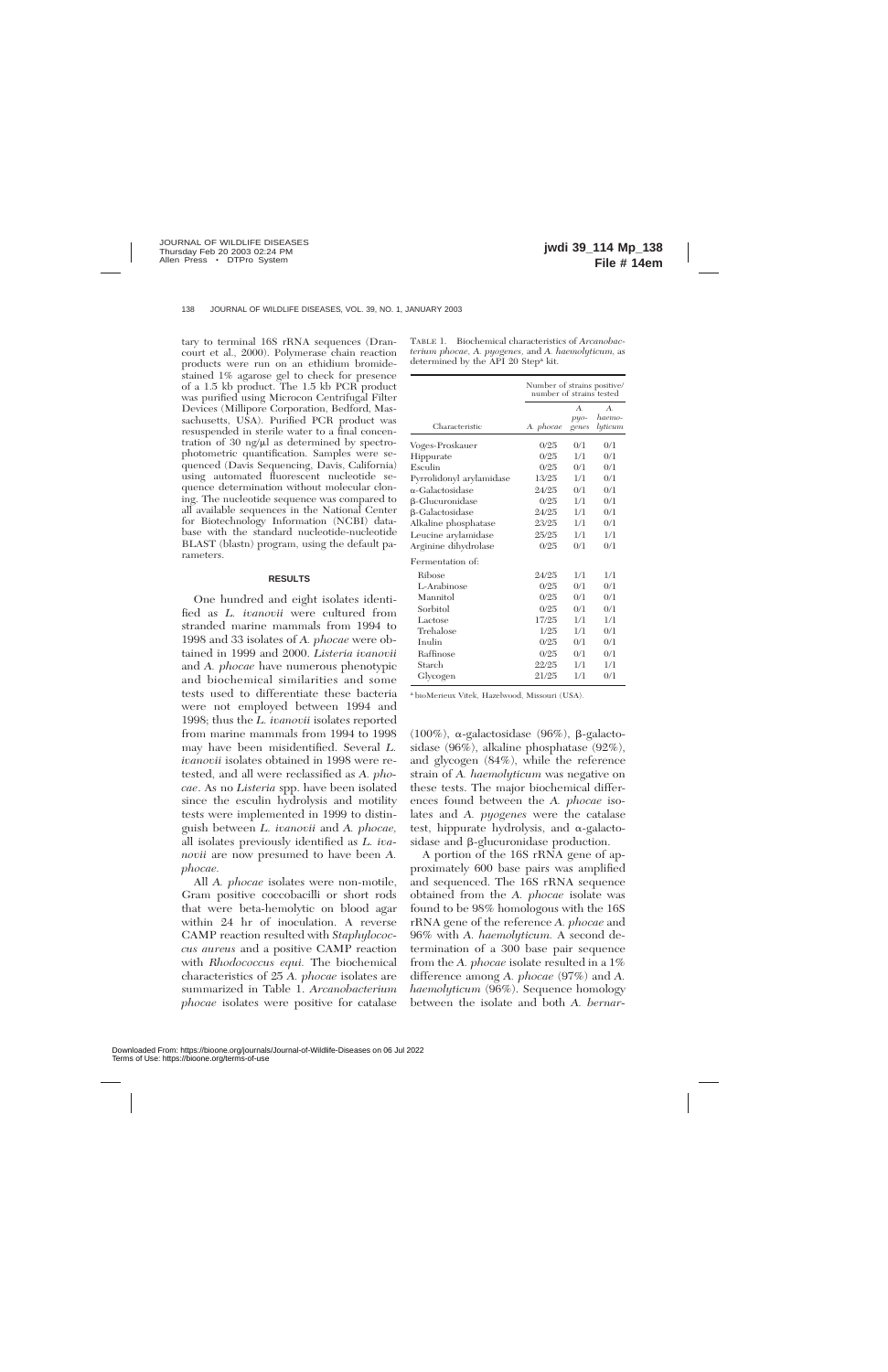tary to terminal 16S rRNA sequences (Drancourt et al., 2000). Polymerase chain reaction products were run on an ethidium bromidestained 1% agarose gel to check for presence of a 1.5 kb product. The 1.5 kb PCR product was purified using Microcon Centrifugal Filter Devices (Millipore Corporation, Bedford, Massachusetts, USA). Purified PCR product was resuspended in sterile water to a final concentration of 30 ng/ $\mu$ l as determined by spectrophotometric quantification. Samples were sequenced (Davis Sequencing, Davis, California) using automated fluorescent nucleotide sequence determination without molecular cloning. The nucleotide sequence was compared to all available sequences in the National Center for Biotechnology Information (NCBI) database with the standard nucleotide-nucleotide BLAST (blastn) program, using the default parameters.

#### **RESULTS**

One hundred and eight isolates identified as *L. ivanovii* were cultured from stranded marine mammals from 1994 to 1998 and 33 isolates of *A. phocae* were obtained in 1999 and 2000. *Listeria ivanovii* and *A. phocae* have numerous phenotypic and biochemical similarities and some tests used to differentiate these bacteria were not employed between 1994 and 1998; thus the *L. ivanovii* isolates reported from marine mammals from 1994 to 1998 may have been misidentified. Several *L. ivanovii* isolates obtained in 1998 were retested, and all were reclassified as *A. phocae*. As no *Listeria* spp. have been isolated since the esculin hydrolysis and motility tests were implemented in 1999 to distinguish between *L. ivanovii* and *A. phocae,* all isolates previously identified as *L. ivanovii* are now presumed to have been *A. phocae.*

All *A. phocae* isolates were non-motile, Gram positive coccobacilli or short rods that were beta-hemolytic on blood agar within 24 hr of inoculation. A reverse CAMP reaction resulted with *Staphylococcus aureus* and a positive CAMP reaction with *Rhodococcus equi.* The biochemical characteristics of 25 *A. phocae* isolates are summarized in Table 1. *Arcanobacterium phocae* isolates were positive for catalase

TABLE 1. Biochemical characteristics of *Arcanobacterium phocae, A. pyogenes,* and *A. haemolyticum,* as determined by the API 20 Stepa kit.

|                          | Number of strains positive/<br>number of strains tested |                                   |                                     |  |
|--------------------------|---------------------------------------------------------|-----------------------------------|-------------------------------------|--|
| Characteristic           | A. phocae                                               | $\mathbf{A}$ .<br>$puo-$<br>genes | $\mathbf{A}$ .<br>haemo-<br>lyticum |  |
| Voges-Proskauer          | 0/25                                                    | 0/1                               | 0/1                                 |  |
| Hippurate                | 0/25                                                    | 1/1                               | 0/1                                 |  |
| Esculin                  | 0/25                                                    | 0/1                               | 0/1                                 |  |
| Pyrrolidonyl arylamidase | 13/25                                                   | 1/1                               | 0/1                                 |  |
| $\alpha$ -Galactosidase  | 24/25                                                   | 0/1                               | 0/1                                 |  |
| $\beta$ -Glucuronidase   | 0/25                                                    | 1/1                               | 0/1                                 |  |
| $\beta$ -Galactosidase   | 24/25                                                   | 1/1                               | 0/1                                 |  |
| Alkaline phosphatase     | 23/25                                                   | 1/1                               | 0/1                                 |  |
| Leucine arylamidase      | 25/25                                                   | 1/1                               | 1/1                                 |  |
| Arginine dihydrolase     | 0/25                                                    | 0/1                               | 0/1                                 |  |
| Fermentation of:         |                                                         |                                   |                                     |  |
| <b>Ribose</b>            | 24/25                                                   | 1/1                               | 1/1                                 |  |
| L-Arabinose              | 0/25                                                    | 0/1                               | 0/1                                 |  |
| Mannitol                 | 0/25                                                    | 0/1                               | 0/1                                 |  |
| Sorbitol                 | 0/25                                                    | 0/1                               | 0/1                                 |  |
| Lactose                  | 17/25                                                   | 1/1                               | 1/1                                 |  |
| Trehalose                | 1/25                                                    | 1/1                               | 0/1                                 |  |
| Inulin                   | 0/25                                                    | 0/1                               | 0/1                                 |  |
| Raffinose                | 0/25                                                    | 0/1                               | 0/1                                 |  |
| Starch                   | 22/25                                                   | 1/1                               | 1/1                                 |  |
| Glycogen                 | 21/25                                                   | 1/1                               | 0/1                                 |  |

<sup>a</sup> bioMerieux Vitek, Hazelwood, Missouri (USA).

(100%),  $\alpha$ -galactosidase (96%),  $\beta$ -galactosidase (96%), alkaline phosphatase (92%), and glycogen (84%), while the reference strain of *A. haemolyticum* was negative on these tests. The major biochemical differences found between the *A. phocae* isolates and *A. pyogenes* were the catalase test, hippurate hydrolysis, and  $\alpha$ -galactosidase and β-glucuronidase production.

A portion of the 16S rRNA gene of approximately 600 base pairs was amplified and sequenced. The 16S rRNA sequence obtained from the *A. phocae* isolate was found to be 98% homologous with the 16S rRNA gene of the reference *A. phocae* and 96% with *A. haemolyticum.* A second determination of a 300 base pair sequence from the *A. phocae* isolate resulted in a 1% difference among *A. phocae* (97%) and *A. haemolyticum* (96%). Sequence homology between the isolate and both *A. bernar-*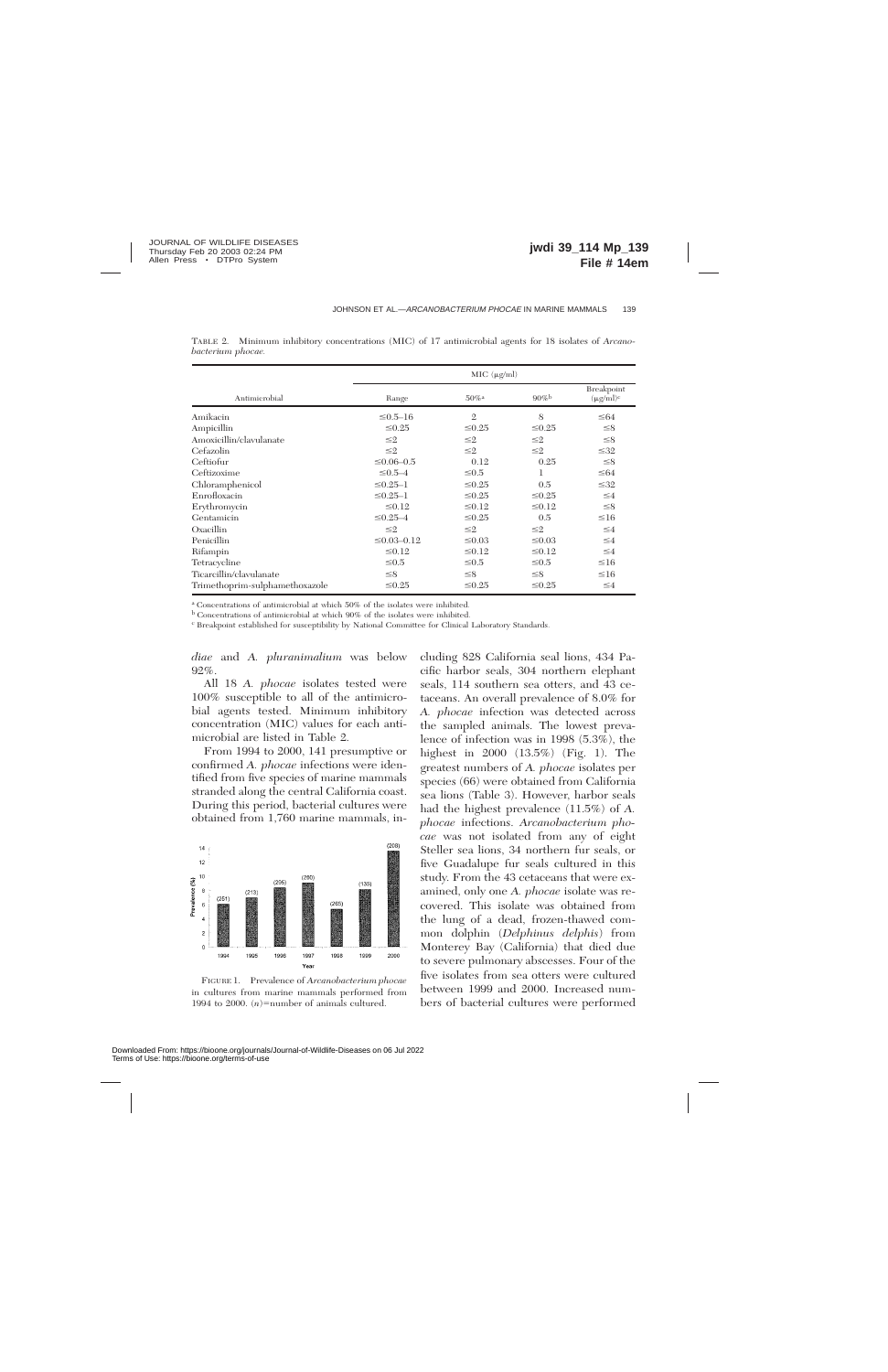|                                | MIC (µg/ml)        |                     |             |                              |  |  |
|--------------------------------|--------------------|---------------------|-------------|------------------------------|--|--|
| Antimicrobial                  | Range              | $50\%$ <sup>a</sup> | $90\%$      | Breakpoint<br>$(\mu g/ml)^c$ |  |  |
| Amikacin                       | $\leq 0.5 - 16$    | $\mathfrak{2}$      | 8           | $\leq 64$                    |  |  |
| Ampicillin                     | $\leq 0.25$        | $\leq 0.25$         | $\leq 0.25$ | $\leq 8$                     |  |  |
| Amoxicillin/clavulanate        | $\leq 2$           | $\leq$ 2            | $\leq 2$    | $\leq 8$                     |  |  |
| Cefazolin                      | $\leq 2$           | $\leq$ 2            | $\leq$ 2    | $\leq 32$                    |  |  |
| Ceftiofur                      | $\leq 0.06 - 0.5$  | 0.12                | 0.25        | $\leq 8$                     |  |  |
| Ceftizoxime                    | $\leq 0.5 - 4$     | $\leq 0.5$          | 1           | $\leq 64$                    |  |  |
| Chloramphenicol                | $\leq 0.25 - 1$    | $\leq 0.25$         | 0.5         | $\leq 32$                    |  |  |
| Enrofloxacin                   | $\leq 0.25 - 1$    | $\leq 0.25$         | $\leq 0.25$ | $\leq 4$                     |  |  |
| Erythromycin                   | $\leq 0.12$        | $\leq 0.12$         | $\leq 0.12$ | $\leq 8$                     |  |  |
| Gentamicin                     | $\leq 0.25 - 4$    | $\leq 0.25$         | 0.5         | $\leq 16$                    |  |  |
| Oxacillin                      | $\leq 2$           | $\leq$ 2            | $\leq$ 2    | $\leq 4$                     |  |  |
| Penicillin                     | $\leq 0.03 - 0.12$ | $\leq 0.03$         | $\leq 0.03$ | $\leq 4$                     |  |  |
| Rifampin                       | $\leq 0.12$        | $\leq 0.12$         | $\leq 0.12$ | $\leq 4$                     |  |  |
| Tetracycline                   | $≤0.5$             | $\leq 0.5$          | $\leq 0.5$  | $\leq 16$                    |  |  |
| Ticarcillin/clavulanate        | $\leq 8$           | $\leq$ 8            | $\leq 8$    | $\leq 16$                    |  |  |
| Trimethoprim-sulphamethoxazole | $\leq 0.25$        | $\leq 0.25$         | $\leq 0.25$ | $\leq 4$                     |  |  |

TABLE 2. Minimum inhibitory concentrations (MIC) of 17 antimicrobial agents for 18 isolates of *Arcanobacterium phocae.*

<sup>a</sup> Concentrations of antimicrobial at which 50% of the isolates were inhibited.

<sup>b</sup> Concentrations of antimicrobial at which 90% of the isolates were inhibited.

<sup>c</sup> Breakpoint established for susceptibility by National Committee for Clinical Laboratory Standards.

*diae* and *A. pluranimalium* was below 92%.

All 18 *A. phocae* isolates tested were 100% susceptible to all of the antimicrobial agents tested. Minimum inhibitory concentration (MIC) values for each antimicrobial are listed in Table 2.

From 1994 to 2000, 141 presumptive or confirmed *A. phocae* infections were identified from five species of marine mammals stranded along the central California coast. During this period, bacterial cultures were obtained from 1,760 marine mammals, in-



FIGURE 1. Prevalence of *Arcanobacterium phocae* in cultures from marine mammals performed from 1994 to 2000.  $(n)$ =number of animals cultured.

cluding 828 California seal lions, 434 Pacific harbor seals, 304 northern elephant seals, 114 southern sea otters, and 43 cetaceans. An overall prevalence of 8.0% for *A. phocae* infection was detected across the sampled animals. The lowest prevalence of infection was in 1998 (5.3%), the highest in 2000 (13.5%) (Fig. 1). The greatest numbers of *A. phocae* isolates per species (66) were obtained from California sea lions (Table 3). However, harbor seals had the highest prevalence (11.5%) of *A. phocae* infections. *Arcanobacterium phocae* was not isolated from any of eight Steller sea lions, 34 northern fur seals, or five Guadalupe fur seals cultured in this study. From the 43 cetaceans that were examined, only one *A. phocae* isolate was recovered. This isolate was obtained from the lung of a dead, frozen-thawed common dolphin (*Delphinus delphis*) from Monterey Bay (California) that died due to severe pulmonary abscesses. Four of the five isolates from sea otters were cultured between 1999 and 2000. Increased numbers of bacterial cultures were performed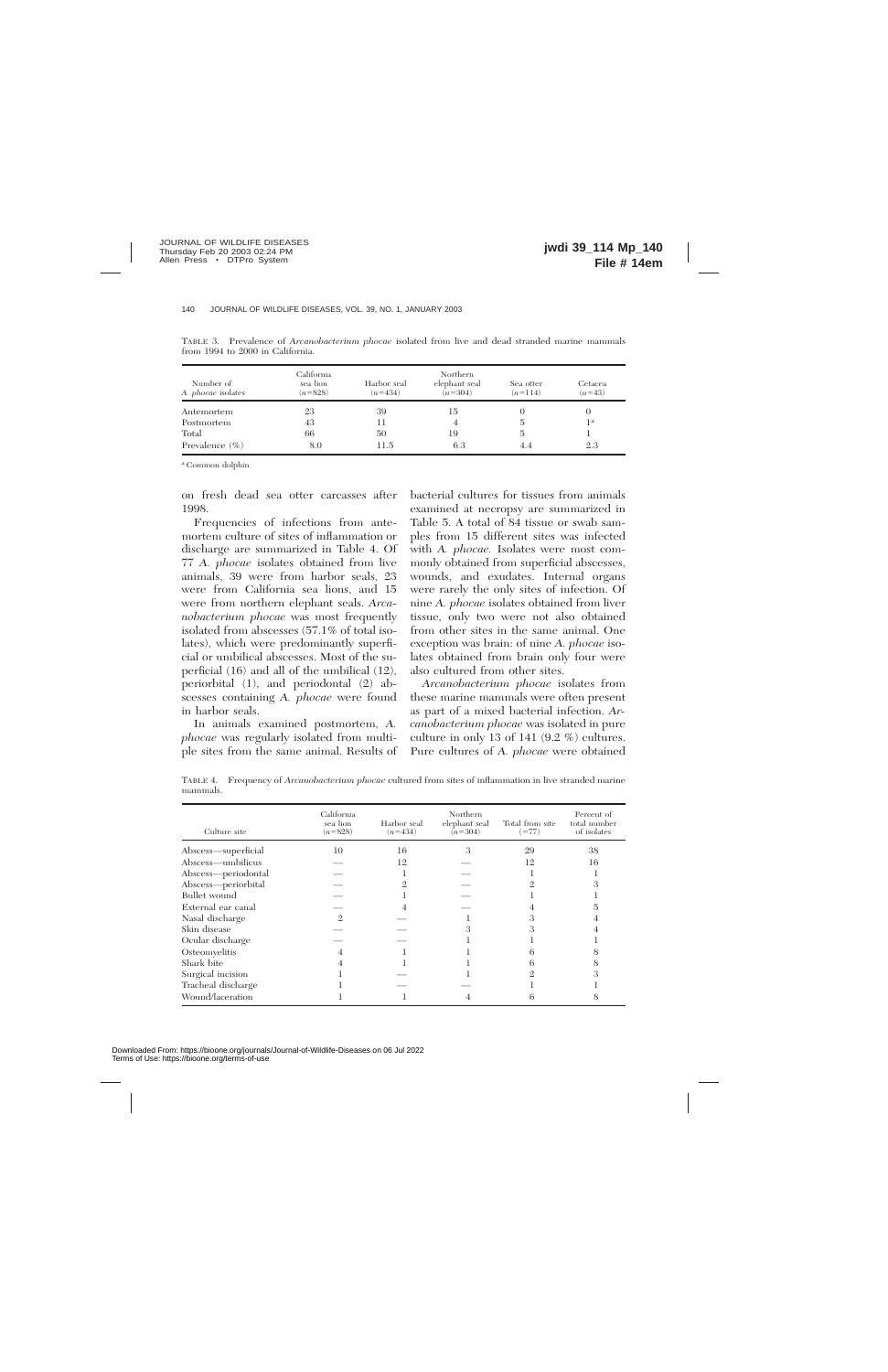| Number of<br>A. <i>phocae</i> isolates | California<br>sea lion<br>$(n=828)$ | Harbor seal<br>$(n=434)$ | Northern<br>elephant seal<br>$(n=304)$ | Sea otter<br>$(n=114)$ | Cetacea<br>$(n=43)$ |
|----------------------------------------|-------------------------------------|--------------------------|----------------------------------------|------------------------|---------------------|
| Antemortem                             | 23                                  | 39                       | 15                                     |                        | U                   |
| Postmortem                             | 43                                  | 11                       | 4                                      |                        | 1a                  |
| Total                                  | 66                                  | 50                       | 19                                     | 5                      |                     |
| Prevalence $(\% )$                     | 8.0                                 | 11.5                     | 6.3                                    | 4.4                    | 2.3                 |

TABLE 3. Prevalence of *Arcanobacterium phocae* isolated from live and dead stranded marine mammals from 1994 to 2000 in California.

<sup>a</sup> Common dolphin.

on fresh dead sea otter carcasses after 1998.

Frequencies of infections from antemortem culture of sites of inflammation or discharge are summarized in Table 4. Of 77 *A. phocae* isolates obtained from live animals, 39 were from harbor seals, 23 were from California sea lions, and 15 were from northern elephant seals. *Arcanobacterium phocae* was most frequently isolated from abscesses (57.1% of total isolates), which were predominantly superficial or umbilical abscesses. Most of the superficial (16) and all of the umbilical (12), periorbital (1), and periodontal (2) abscesses containing *A. phocae* were found in harbor seals.

In animals examined postmortem, *A. phocae* was regularly isolated from multiple sites from the same animal. Results of bacterial cultures for tissues from animals examined at necropsy are summarized in Table 5. A total of 84 tissue or swab samples from 15 different sites was infected with *A. phocae.* Isolates were most commonly obtained from superficial abscesses, wounds, and exudates. Internal organs were rarely the only sites of infection. Of nine *A. phocae* isolates obtained from liver tissue, only two were not also obtained from other sites in the same animal. One exception was brain: of nine *A. phocae* isolates obtained from brain only four were also cultured from other sites.

*Arcanobacterium phocae* isolates from these marine mammals were often present as part of a mixed bacterial infection. *Arcanobacterium phocae* was isolated in pure culture in only 13 of 141 (9.2 %) cultures. Pure cultures of *A. phocae* were obtained

TABLE 4. Frequency of *Arcanobacterium phocae* cultured from sites of inflammation in live stranded marine mammals.

| Culture site        | California<br>sea lion<br>$(n=828)$ | Harbor seal<br>$(n=434)$ | Northern<br>elephant seal<br>$(n=304)$ | Total from site<br>$(=77)$ | Percent of<br>total number<br>of isolates |
|---------------------|-------------------------------------|--------------------------|----------------------------------------|----------------------------|-------------------------------------------|
| Abscess-superficial | 10                                  | 16                       | 3                                      | 29                         | 38                                        |
| Abscess—umbilicus   |                                     | 12                       |                                        | 12                         | 16                                        |
| Abscess-periodontal |                                     |                          |                                        |                            |                                           |
| Abscess-periorbital |                                     |                          |                                        |                            |                                           |
| Bullet wound        |                                     |                          |                                        |                            |                                           |
| External ear canal  |                                     |                          |                                        |                            |                                           |
| Nasal discharge     | $\mathcal{D}_{\cdot}$               |                          |                                        |                            |                                           |
| Skin disease        |                                     |                          |                                        | $\Omega$                   |                                           |
| Ocular discharge    |                                     |                          |                                        |                            |                                           |
| Osteomyelitis       |                                     |                          |                                        |                            |                                           |
| Shark bite          |                                     |                          |                                        |                            |                                           |
| Surgical incision   |                                     |                          |                                        |                            |                                           |
| Tracheal discharge  |                                     |                          |                                        |                            |                                           |
| Wound/laceration    |                                     |                          |                                        |                            |                                           |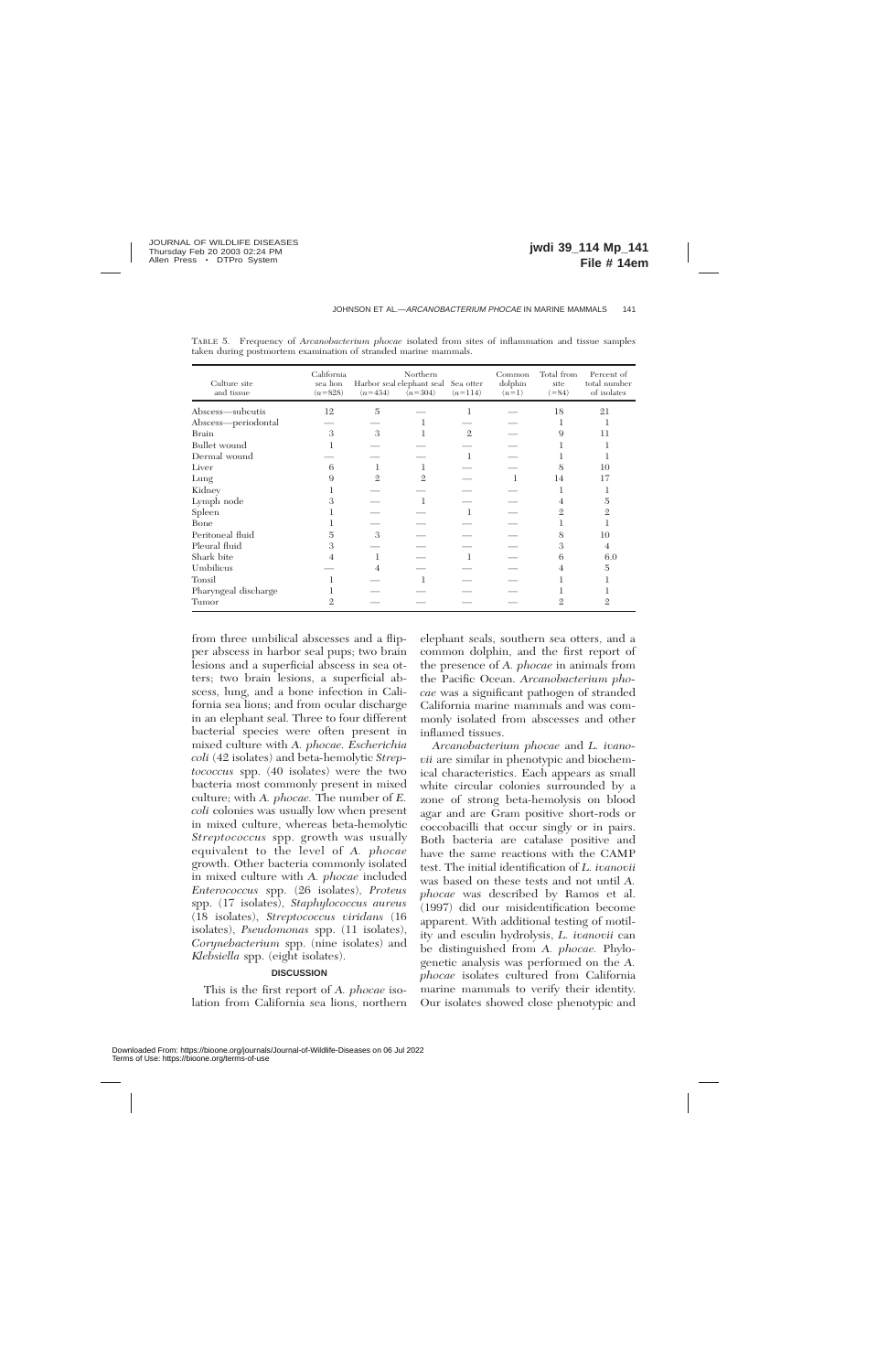| Culture site<br>and tissue | California<br>sea lion<br>$(n=828)$ | $(n=434)$      | Northern<br>Harbor seal elephant seal<br>$(n=304)$ | Sea otter<br>$(n=114)$ | Common<br>dolphin<br>$(n=1)$ | Total from<br>site<br>$( = 84)$ | Percent of<br>total number<br>of isolates |
|----------------------------|-------------------------------------|----------------|----------------------------------------------------|------------------------|------------------------------|---------------------------------|-------------------------------------------|
| Abscess—subcutis           | 12                                  | 5              |                                                    |                        |                              | 18                              | 21                                        |
| Abscess-periodontal        |                                     |                |                                                    |                        |                              |                                 |                                           |
| <b>Brain</b>               | 3                                   | 3              |                                                    | $\mathfrak{2}$         |                              | 9                               | 11                                        |
| <b>Bullet</b> wound        |                                     |                |                                                    |                        |                              |                                 |                                           |
| Dermal wound               |                                     |                |                                                    | 1                      |                              |                                 |                                           |
| Liver                      | 6                                   |                |                                                    |                        |                              | 8                               | 10                                        |
| Lung                       | 9                                   | $\mathfrak{2}$ | $\mathbf{2}$                                       |                        | 1                            | 14                              | 17                                        |
| Kidney                     |                                     |                |                                                    |                        |                              |                                 |                                           |
| Lymph node                 | З                                   |                |                                                    |                        |                              | 4                               | 5                                         |
| Spleen                     |                                     |                |                                                    | 1                      |                              | 2                               | 2                                         |
| Bone                       |                                     |                |                                                    |                        |                              |                                 |                                           |
| Peritoneal fluid           | 5                                   | 3              |                                                    |                        |                              | 8                               | 10                                        |
| Pleural fluid              | 3                                   |                |                                                    |                        |                              | 3                               | 4                                         |
| Shark bite                 | 4                                   |                |                                                    |                        |                              | 6                               | 6.0                                       |
| Umbilicus                  |                                     | 4              |                                                    |                        |                              | 4                               | 5                                         |
| Tonsil                     |                                     |                |                                                    |                        |                              |                                 |                                           |
| Pharyngeal discharge       |                                     |                |                                                    |                        |                              |                                 |                                           |
| Tumor                      |                                     |                |                                                    |                        |                              |                                 |                                           |

TABLE 5. Frequency of *Arcanobacterium phocae* isolated from sites of inflammation and tissue samples taken during postmortem examination of stranded marine mammals.

from three umbilical abscesses and a flipper abscess in harbor seal pups; two brain lesions and a superficial abscess in sea otters; two brain lesions, a superficial abscess, lung, and a bone infection in California sea lions; and from ocular discharge in an elephant seal. Three to four different bacterial species were often present in mixed culture with *A. phocae. Escherichia coli* (42 isolates) and beta*-*hemolytic *Streptococcus* spp. (40 isolates) were the two bacteria most commonly present in mixed culture; with *A. phocae.* The number of *E. coli* colonies was usually low when present in mixed culture, whereas beta-hemolytic *Streptococcus* spp. growth was usually equivalent to the level of *A. phocae* growth. Other bacteria commonly isolated in mixed culture with *A. phocae* included *Enterococcus* spp. (26 isolates), *Proteus* spp. (17 isolates), *Staphylococcus aureus* (18 isolates), *Streptococcus viridans* (16 isolates), *Pseudomonas* spp. (11 isolates), *Corynebacterium* spp. (nine isolates) and *Klebsiella* spp. (eight isolates).

### **DISCUSSION**

This is the first report of *A. phocae* isolation from California sea lions, northern elephant seals, southern sea otters, and a common dolphin, and the first report of the presence of *A. phocae* in animals from the Pacific Ocean. *Arcanobacterium phocae* was a significant pathogen of stranded California marine mammals and was commonly isolated from abscesses and other inflamed tissues.

*Arcanobacterium phocae* and *L. ivanovii* are similar in phenotypic and biochemical characteristics. Each appears as small white circular colonies surrounded by a zone of strong beta-hemolysis on blood agar and are Gram positive short-rods or coccobacilli that occur singly or in pairs. Both bacteria are catalase positive and have the same reactions with the CAMP test. The initial identification of *L. ivanovii* was based on these tests and not until *A. phocae* was described by Ramos et al. (1997) did our misidentification become apparent. With additional testing of motility and esculin hydrolysis, *L. ivanovii* can be distinguished from *A. phocae.* Phylogenetic analysis was performed on the *A. phocae* isolates cultured from California marine mammals to verify their identity. Our isolates showed close phenotypic and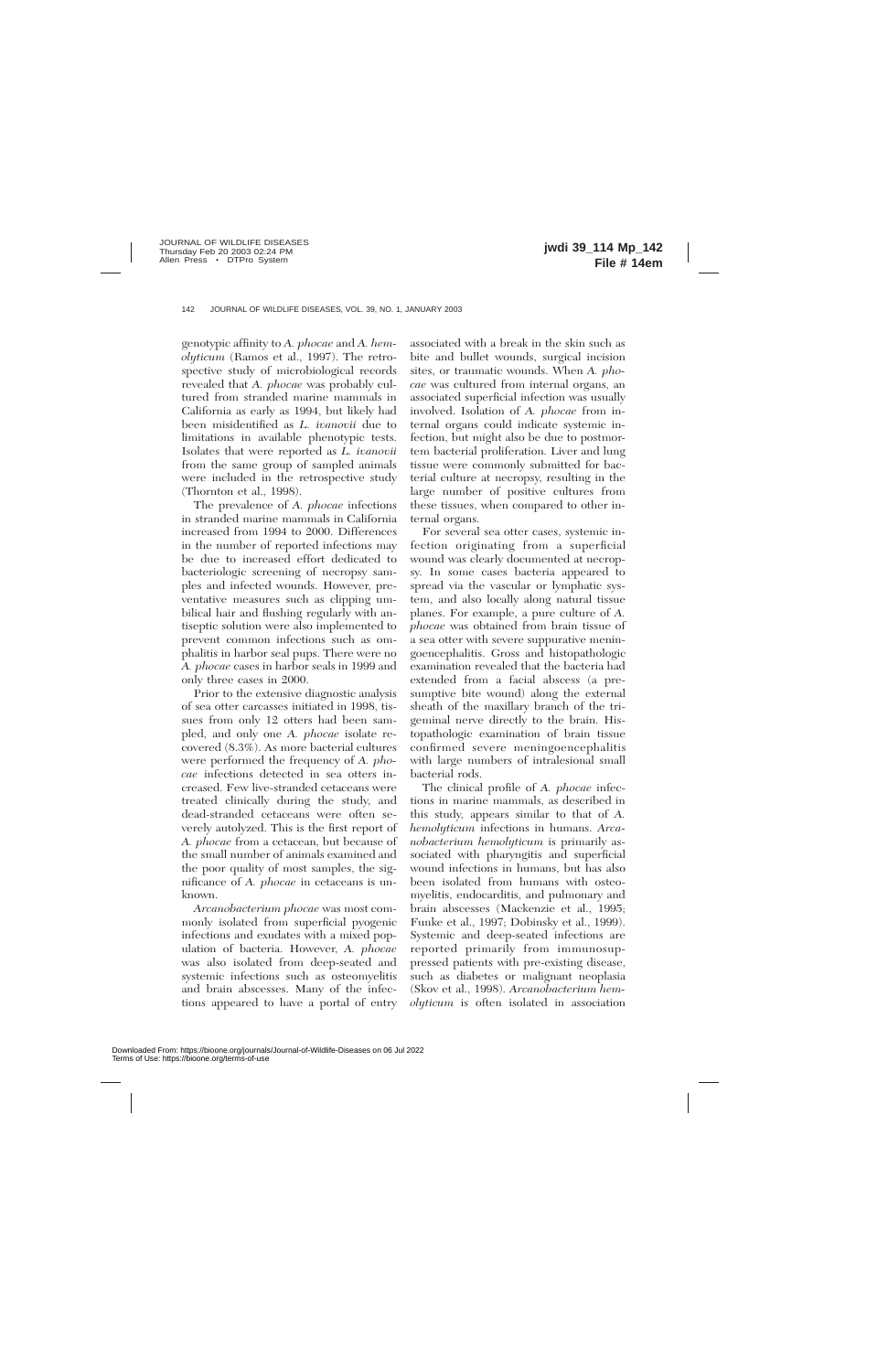genotypic affinity to *A. phocae* and *A. hemolyticum* (Ramos et al., 1997). The retrospective study of microbiological records revealed that *A. phocae* was probably cultured from stranded marine mammals in California as early as 1994, but likely had been misidentified as *L. ivanovii* due to limitations in available phenotypic tests. Isolates that were reported as *L. ivanovii* from the same group of sampled animals were included in the retrospective study (Thornton et al., 1998).

The prevalence of *A. phocae* infections in stranded marine mammals in California increased from 1994 to 2000. Differences in the number of reported infections may be due to increased effort dedicated to bacteriologic screening of necropsy samples and infected wounds. However, preventative measures such as clipping umbilical hair and flushing regularly with antiseptic solution were also implemented to prevent common infections such as omphalitis in harbor seal pups. There were no *A. phocae* cases in harbor seals in 1999 and only three cases in 2000.

Prior to the extensive diagnostic analysis of sea otter carcasses initiated in 1998, tissues from only 12 otters had been sampled, and only one *A. phocae* isolate recovered (8.3%). As more bacterial cultures were performed the frequency of *A. phocae* infections detected in sea otters increased. Few live-stranded cetaceans were treated clinically during the study, and dead-stranded cetaceans were often severely autolyzed. This is the first report of *A. phocae* from a cetacean, but because of the small number of animals examined and the poor quality of most samples, the significance of *A. phocae* in cetaceans is unknown.

*Arcanobacterium phocae* was most commonly isolated from superficial pyogenic infections and exudates with a mixed population of bacteria. However, *A. phocae* was also isolated from deep-seated and systemic infections such as osteomyelitis and brain abscesses. Many of the infections appeared to have a portal of entry associated with a break in the skin such as bite and bullet wounds, surgical incision sites, or traumatic wounds. When *A. phocae* was cultured from internal organs, an associated superficial infection was usually involved. Isolation of *A. phocae* from internal organs could indicate systemic infection, but might also be due to postmortem bacterial proliferation. Liver and lung tissue were commonly submitted for bacterial culture at necropsy, resulting in the large number of positive cultures from these tissues, when compared to other internal organs.

For several sea otter cases, systemic infection originating from a superficial wound was clearly documented at necropsy. In some cases bacteria appeared to spread via the vascular or lymphatic system, and also locally along natural tissue planes. For example, a pure culture of *A. phocae* was obtained from brain tissue of a sea otter with severe suppurative meningoencephalitis. Gross and histopathologic examination revealed that the bacteria had extended from a facial abscess (a presumptive bite wound) along the external sheath of the maxillary branch of the trigeminal nerve directly to the brain. Histopathologic examination of brain tissue confirmed severe meningoencephalitis with large numbers of intralesional small bacterial rods.

The clinical profile of *A. phocae* infections in marine mammals, as described in this study, appears similar to that of *A. hemolyticum* infections in humans. *Arcanobacterium hemolyticum* is primarily associated with pharyngitis and superficial wound infections in humans, but has also been isolated from humans with osteomyelitis, endocarditis, and pulmonary and brain abscesses (Mackenzie et al., 1995; Funke et al., 1997; Dobinsky et al., 1999). Systemic and deep-seated infections are reported primarily from immunosuppressed patients with pre-existing disease, such as diabetes or malignant neoplasia (Skov et al., 1998). *Arcanobacterium hemolyticum* is often isolated in association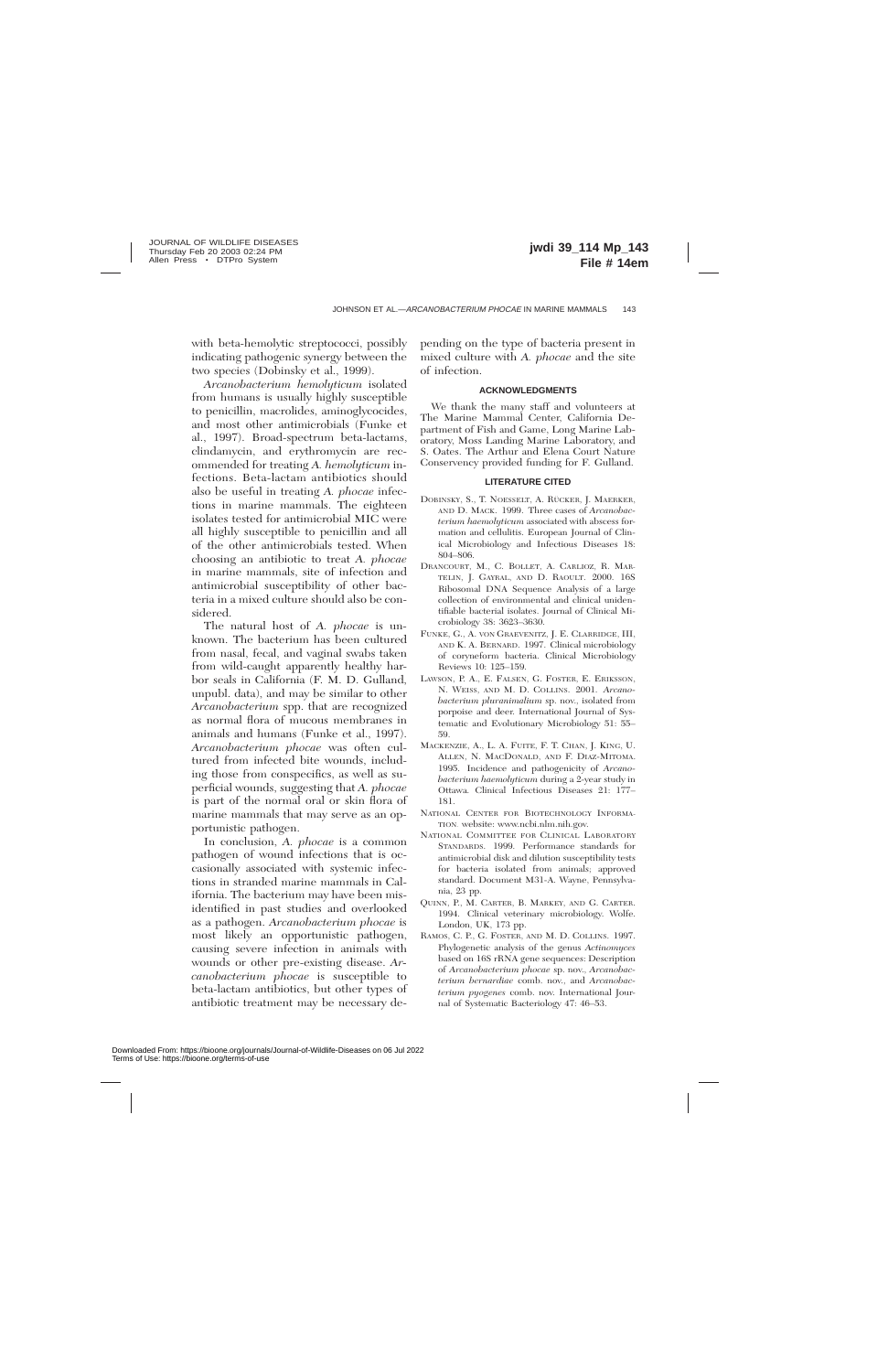with beta-hemolytic streptococci, possibly indicating pathogenic synergy between the two species (Dobinsky et al., 1999).

*Arcanobacterium hemolyticum* isolated from humans is usually highly susceptible to penicillin, macrolides, aminoglycocides, and most other antimicrobials (Funke et al., 1997). Broad-spectrum beta-lactams, clindamycin, and erythromycin are recommended for treating *A. hemolyticum* infections. Beta-lactam antibiotics should also be useful in treating *A. phocae* infections in marine mammals. The eighteen isolates tested for antimicrobial MIC were all highly susceptible to penicillin and all of the other antimicrobials tested. When choosing an antibiotic to treat *A. phocae* in marine mammals, site of infection and antimicrobial susceptibility of other bacteria in a mixed culture should also be considered.

The natural host of *A. phocae* is unknown. The bacterium has been cultured from nasal, fecal, and vaginal swabs taken from wild-caught apparently healthy harbor seals in California (F. M. D. Gulland, unpubl. data), and may be similar to other *Arcanobacterium* spp. that are recognized as normal flora of mucous membranes in animals and humans (Funke et al., 1997). *Arcanobacterium phocae* was often cultured from infected bite wounds, including those from conspecifics, as well as superficial wounds, suggesting that *A. phocae* is part of the normal oral or skin flora of marine mammals that may serve as an opportunistic pathogen.

In conclusion, *A. phocae* is a common pathogen of wound infections that is occasionally associated with systemic infections in stranded marine mammals in California. The bacterium may have been misidentified in past studies and overlooked as a pathogen. *Arcanobacterium phocae* is most likely an opportunistic pathogen, causing severe infection in animals with wounds or other pre-existing disease. *Arcanobacterium phocae* is susceptible to beta-lactam antibiotics, but other types of antibiotic treatment may be necessary depending on the type of bacteria present in mixed culture with *A. phocae* and the site of infection.

#### **ACKNOWLEDGMENTS**

We thank the many staff and volunteers at The Marine Mammal Center, California Department of Fish and Game, Long Marine Laboratory, Moss Landing Marine Laboratory, and S. Oates. The Arthur and Elena Court Nature Conservency provided funding for F. Gulland.

#### **LITERATURE CITED**

- DOBINSKY, S., T. NOESSELT, A. RÜCKER, J. MAERKER, AND D. MACK. 1999. Three cases of *Arcanobacterium haemolyticum* associated with abscess formation and cellulitis. European Journal of Clinical Microbiology and Infectious Diseases 18: 804–806.
- DRANCOURT, M., C. BOLLET, A. CARLIOZ, R. MAR-TELIN, J. GAYRAL, AND D. RAOULT. 2000. 16S Ribosomal DNA Sequence Analysis of a large collection of environmental and clinical unidentifiable bacterial isolates. Journal of Clinical Microbiology 38: 3623–3630.
- FUNKE, G., A. VON GRAEVENITZ, J. E. CLARRIDGE, III, AND K. A. BERNARD. 1997. Clinical microbiology of coryneform bacteria. Clinical Microbiology Reviews 10: 125–159.
- LAWSON, P. A., E. FALSEN, G. FOSTER, E. ERIKSSON, N. WEISS, AND M. D. COLLINS. 2001. *Arcanobacterium pluranimalium* sp. nov., isolated from porpoise and deer. International Journal of Systematic and Evolutionary Microbiology 51: 55– 59.
- MACKENZIE, A., L. A. FUITE, F. T. CHAN, J. KING, U. ALLEN, N. MACDONALD, AND F. DIAZ-MITOMA. 1995. Incidence and pathogenicity of *Arcanobacterium haemolyticum* during a 2-year study in Ottawa. Clinical Infectious Diseases 21: 177– 181.
- NATIONAL CENTER FOR BIOTECHNOLOGY INFORMA-TION. website: www.ncbi.nlm.nih.gov.
- NATIONAL COMMITTEE FOR CLINICAL LABORATORY STANDARDS. 1999. Performance standards for antimicrobial disk and dilution susceptibility tests for bacteria isolated from animals; approved standard. Document M31-A. Wayne, Pennsylvania, 23 pp.
- QUINN, P., M. CARTER, B. MARKEY, AND G. CARTER. 1994. Clinical veterinary microbiology. Wolfe. London, UK, 173 pp.
- RAMOS, C. P., G. FOSTER, AND M. D. COLLINS. 1997. Phylogenetic analysis of the genus *Actinomyces* based on 16S rRNA gene sequences: Description of *Arcanobacterium phocae* sp. nov., *Arcanobacterium bernardiae* comb. nov., and *Arcanobacterium pyogenes* comb. nov. International Journal of Systematic Bacteriology 47: 46–53.